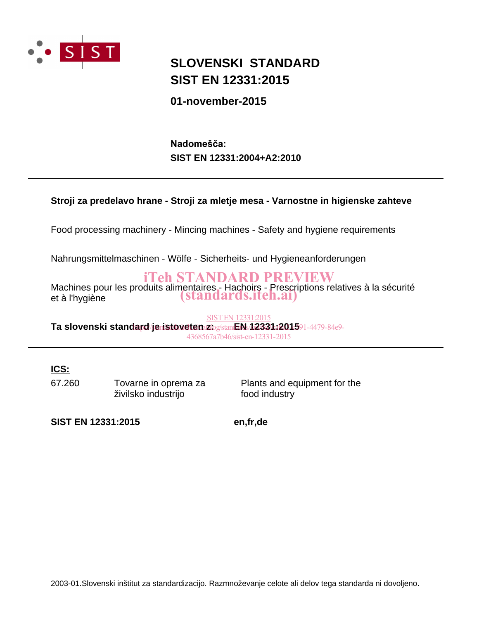

## **SIST EN 12331:2015 SLOVENSKI STANDARD**

### **01-november-2015**

**SIST EN 12331:2004+A2:2010** Nadomešča:

#### **Stroji za predelavo hrane - Stroji za mletje mesa - Varnostne in higienske zahteve**

Food processing machinery - Mincing machines - Safety and hygiene requirements

Nahrungsmittelmaschinen - Wölfe - Sicherheits- und Hygieneanforderungen

### iTeh STANDARD PREVIEW

Machines pour les produits alimentaires - Hachoirs - Prescriptions relatives à la sécurité Machines pour les produits allmentaires - Hachoits - Prescription<br>et à l'hygiène (standards.iteh.ai)

Ta slovenski standard/jeristoveten zbg/standard: **12331:12015**91-4479-84e9-SIST EN 12331:2015 4368567a7b46/sist-en-12331-2015

**ICS:**

67.260 Tovarne in oprema za živilsko industrijo

Plants and equipment for the food industry

**SIST EN 12331:2015 en,fr,de**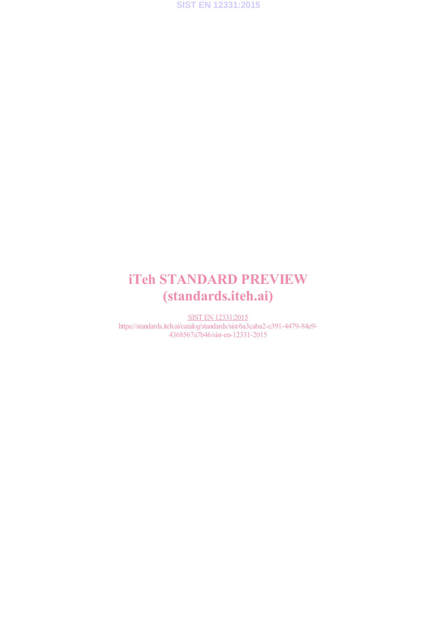

# iTeh STANDARD PREVIEW (standards.iteh.ai)

SIST EN 12331:2015 https://standards.iteh.ai/catalog/standards/sist/6a3caba2-c391-4479-84e9- 4368567a7b46/sist-en-12331-2015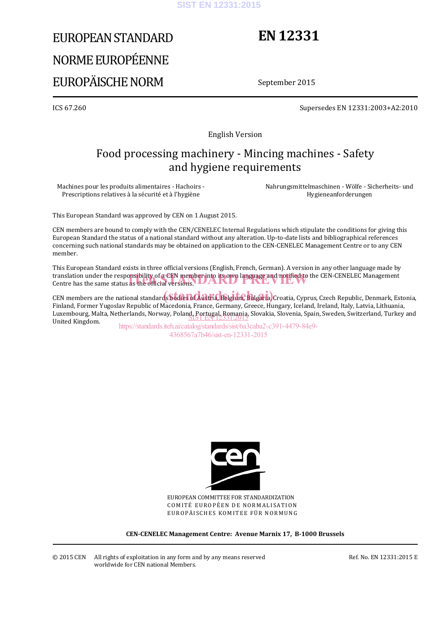#### **SIST EN 12331:2015**

# EUROPEAN STANDARD NORME EUROPÉENNE EUROPÄISCHE NORM

# **EN 12331**

September 2015

ICS 67.260 Supersedes EN 12331:2003+A2:2010

English Version

### Food processing machinery - Mincing machines - Safety and hygiene requirements

Machines pour les produits alimentaires - Hachoirs - Prescriptions relatives à la sécurité et à l'hygiène

 Nahrungsmittelmaschinen - Wölfe - Sicherheits- und Hygieneanforderungen

This European Standard was approved by CEN on 1 August 2015.

CEN members are bound to comply with the CEN/CENELEC Internal Regulations which stipulate the conditions for giving this European Standard the status of a national standard without any alteration. Up-to-date lists and bibliographical references concerning such national standards may be obtained on application to the CEN-CENELEC Management Centre or to any CEN member.

This European Standard exists in three official versions (English, French, German). A version in any other language made by translation under the responsibility of a CEN member into its own language and notified to the CEN-CENELEC Management<br>Centre has the same status as the official versions. Centre has the same status as the official versions. **UARD** 

CEN members are the national standards bodies of Austria, Belgium, Bulgaria, Croatia, Cyprus, Czech Republic, Denmark, Estonia, Finland, Former Yugoslav Republic of Macedonia, France, Germany, Greece, Hungary, Iceland, Ireland, Italy, Latvia, Lithuania, Luxembourg, Malta, Netherlands, Norway, Poland, Portugal, Romania, Slovakia, Slovenia, Spain, Sweden, Switzerland, Turkey and<br>United Kingdom United Kingdom.

https://standards.iteh.ai/catalog/standards/sist/6a3caba2-c391-4479-84e9- 4368567a7b46/sist-en-12331-2015



EUROPEAN COMMITTEE FOR STANDARDIZATION COMITÉ EUROPÉEN DE NORMALISATION EUROPÄISCHES KOMITEE FÜR NORMUNG

**CEN-CENELEC Management Centre: Avenue Marnix 17, B-1000 Brussels**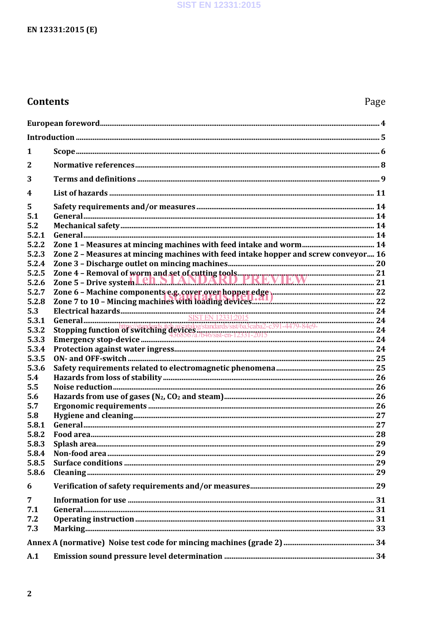### **Contents**

### Page

| 1                       |                                                                                                                                                                                                                                      |  |
|-------------------------|--------------------------------------------------------------------------------------------------------------------------------------------------------------------------------------------------------------------------------------|--|
| $\overline{2}$          |                                                                                                                                                                                                                                      |  |
| 3                       |                                                                                                                                                                                                                                      |  |
| $\overline{\mathbf{4}}$ |                                                                                                                                                                                                                                      |  |
| 5                       |                                                                                                                                                                                                                                      |  |
| 5.1                     |                                                                                                                                                                                                                                      |  |
| 5.2                     |                                                                                                                                                                                                                                      |  |
| 5.2.1                   |                                                                                                                                                                                                                                      |  |
| 5.2.2                   |                                                                                                                                                                                                                                      |  |
| 5.2.3                   | Zone 2 - Measures at mincing machines with feed intake hopper and screw conveyor 16                                                                                                                                                  |  |
| 5.2.4                   |                                                                                                                                                                                                                                      |  |
| 5.2.5                   |                                                                                                                                                                                                                                      |  |
| 5.2.6                   |                                                                                                                                                                                                                                      |  |
| 5.2.7                   |                                                                                                                                                                                                                                      |  |
| 5.2.8                   |                                                                                                                                                                                                                                      |  |
| 5.3                     |                                                                                                                                                                                                                                      |  |
| 5.3.1                   | Electrical hazards SET EN 12331.2015<br>SET EN 12331.2015<br>SET EN 12331.2015<br>Stopping function of Switching denay at algorithm and the system of the system of the system of the system of the system of the system of the syst |  |
| 5.3.2                   |                                                                                                                                                                                                                                      |  |
| 5.3.3                   |                                                                                                                                                                                                                                      |  |
|                         |                                                                                                                                                                                                                                      |  |
| 5.3.4                   |                                                                                                                                                                                                                                      |  |
| 5.3.5                   |                                                                                                                                                                                                                                      |  |
| 5.3.6                   |                                                                                                                                                                                                                                      |  |
| 5.4                     |                                                                                                                                                                                                                                      |  |
| 5.5                     |                                                                                                                                                                                                                                      |  |
| 5.6                     |                                                                                                                                                                                                                                      |  |
| 5.7                     |                                                                                                                                                                                                                                      |  |
| 5.8                     |                                                                                                                                                                                                                                      |  |
| 5.8.1                   |                                                                                                                                                                                                                                      |  |
| 5.8.2                   |                                                                                                                                                                                                                                      |  |
| 5.8.3                   |                                                                                                                                                                                                                                      |  |
| 5.8.4                   |                                                                                                                                                                                                                                      |  |
| 5.8.5                   |                                                                                                                                                                                                                                      |  |
| 5.8.6                   |                                                                                                                                                                                                                                      |  |
| 6                       |                                                                                                                                                                                                                                      |  |
| $\overline{7}$          |                                                                                                                                                                                                                                      |  |
| 7.1                     |                                                                                                                                                                                                                                      |  |
| 7.2                     |                                                                                                                                                                                                                                      |  |
| 7.3                     |                                                                                                                                                                                                                                      |  |
|                         |                                                                                                                                                                                                                                      |  |
|                         |                                                                                                                                                                                                                                      |  |
| A.1                     |                                                                                                                                                                                                                                      |  |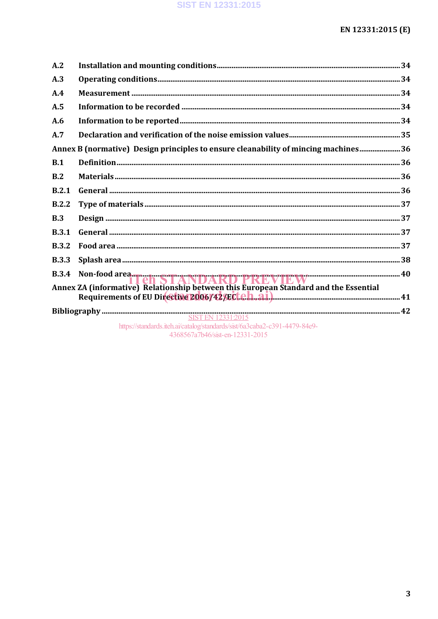| A.2          |                                                                                                              |  |
|--------------|--------------------------------------------------------------------------------------------------------------|--|
| A.3          |                                                                                                              |  |
| A.4          |                                                                                                              |  |
| A.5          |                                                                                                              |  |
| A.6          |                                                                                                              |  |
| A.7          |                                                                                                              |  |
|              | Annex B (normative) Design principles to ensure cleanability of mincing machines 36                          |  |
| B.1          |                                                                                                              |  |
| B.2          |                                                                                                              |  |
| B.2.1        |                                                                                                              |  |
| B.2.2        |                                                                                                              |  |
| B.3          |                                                                                                              |  |
| <b>B.3.1</b> |                                                                                                              |  |
| <b>B.3.2</b> |                                                                                                              |  |
| <b>B.3.3</b> |                                                                                                              |  |
|              |                                                                                                              |  |
|              |                                                                                                              |  |
|              |                                                                                                              |  |
|              | https://standards.iteh.ai/catalog/standards/sist/6a3caba2-c391-4479-84e9-<br>4368567a7b46/sist-en-12331-2015 |  |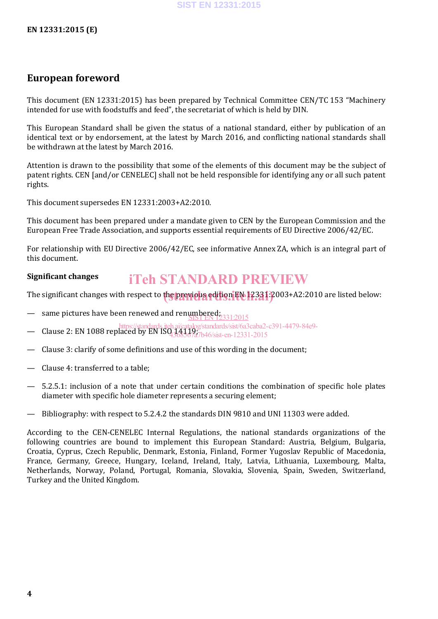### **European foreword**

This document (EN 12331:2015) has been prepared by Technical Committee CEN/TC 153 "Machinery intended for use with foodstuffs and feed", the secretariat of which is held by DIN.

This European Standard shall be given the status of a national standard, either by publication of an identical text or by endorsement, at the latest by March 2016, and conflicting national standards shall be withdrawn at the latest by March 2016.

Attention is drawn to the possibility that some of the elements of this document may be the subject of patent rights. CEN [and/or CENELEC] shall not be held responsible for identifying any or all such patent rights.

This document supersedes EN 12331:2003+A2:2010.

This document has been prepared under a mandate given to CEN by the European Commission and the European Free Trade Association, and supports essential requirements of EU Directive 2006/42/EC.

For relationship with EU Directive 2006/42/EC, see informative Annex ZA, which is an integral part of this document.

#### **Significant changes** iTeh STANDARD PREVIEW

The significant changes with respect to the previous edition EN 12331: 2003+A2:2010 are listed below:

- same pictures have been renewed and renumbered; 331:2015
- https://standards.iteh.ai/catalog/standards/sist/6a3caba2-c391-4479-84e9-
- Clause 2: EN 1088 replaced by EN ISO 14119; 4368567a7b46/sist-en-12331-2015
- Clause 3: clarify of some definitions and use of this wording in the document;
- Clause 4: transferred to a table;
- 5.2.5.1: inclusion of a note that under certain conditions the combination of specific hole plates diameter with specific hole diameter represents a securing element;
- Bibliography: with respect to 5.2.4.2 the standards DIN 9810 and UNI 11303 were added.

According to the CEN-CENELEC Internal Regulations, the national standards organizations of the following countries are bound to implement this European Standard: Austria, Belgium, Bulgaria, Croatia, Cyprus, Czech Republic, Denmark, Estonia, Finland, Former Yugoslav Republic of Macedonia, France, Germany, Greece, Hungary, Iceland, Ireland, Italy, Latvia, Lithuania, Luxembourg, Malta, Netherlands, Norway, Poland, Portugal, Romania, Slovakia, Slovenia, Spain, Sweden, Switzerland, Turkey and the United Kingdom.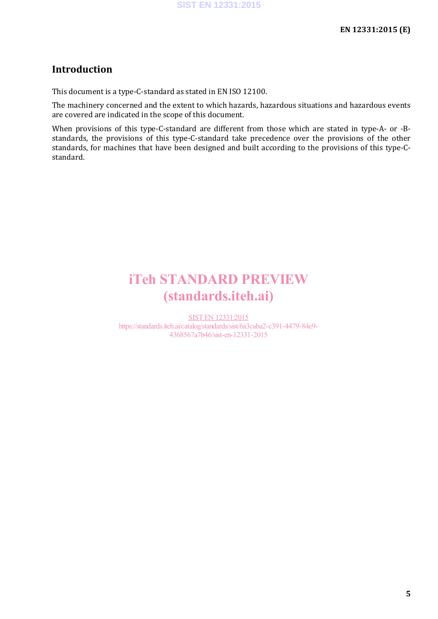#### **Introduction**

This document is a type-C-standard as stated in EN ISO 12100.

The machinery concerned and the extent to which hazards, hazardous situations and hazardous events are covered are indicated in the scope of this document.

When provisions of this type-C-standard are different from those which are stated in type-A- or -Bstandards, the provisions of this type-C-standard take precedence over the provisions of the other standards, for machines that have been designed and built according to the provisions of this type-Cstandard.

## iTeh STANDARD PREVIEW (standards.iteh.ai)

SIST EN 12331:2015 https://standards.iteh.ai/catalog/standards/sist/6a3caba2-c391-4479-84e9- 4368567a7b46/sist-en-12331-2015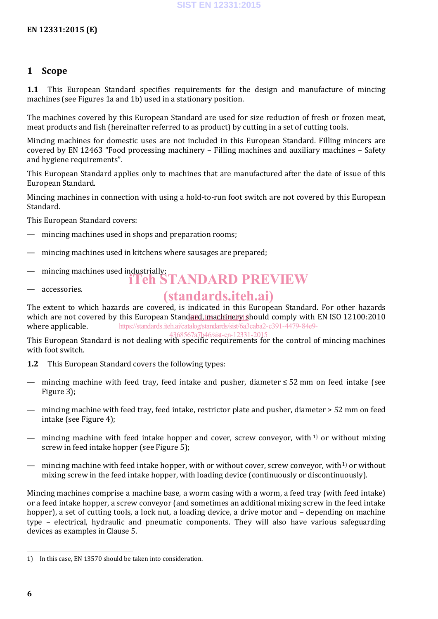#### **1 Scope**

**1.1** This European Standard specifies requirements for the design and manufacture of mincing machines (see Figures 1a and 1b) used in a stationary position.

The machines covered by this European Standard are used for size reduction of fresh or frozen meat, meat products and fish (hereinafter referred to as product) by cutting in a set of cutting tools.

Mincing machines for domestic uses are not included in this European Standard. Filling mincers are covered by EN 12463 "Food processing machinery – Filling machines and auxiliary machines – Safety and hygiene requirements".

This European Standard applies only to machines that are manufactured after the date of issue of this European Standard.

Mincing machines in connection with using a hold-to-run foot switch are not covered by this European Standard.

This European Standard covers:

- mincing machines used in shops and preparation rooms;
- mincing machines used in kitchens where sausages are prepared;
- mincing machines used industrially;<br> **iTeh STANDARD PREVIEW**
- accessories.

### (standards.iteh.ai)

The extent to which hazards are covered, is indicated in this European Standard. For other hazards which are not covered by this European Standard, machinery should comply with EN ISO 12100:2010 where applicable. https://standards.iteh.ai/catalog/standards/sist/6a3caba2-c391-4479-84e9-

This European Standard is not dealing with specific requirements for the control of mincing machines with foot switch. 4368567a7b46/sist-en-12331-2015

- **1.2** This European Standard covers the following types:
- mincing machine with feed tray, feed intake and pusher, diameter ≤ 52 mm on feed intake (see Figure 3);
- mincing machine with feed tray, feed intake, restrictor plate and pusher, diameter > 52 mm on feed intake (see Figure 4);
- mincing machine with feed intake hopper and cover, screw conveyor, with  $1$  or without mixing screw in feed intake hopper (see Figure 5);
- mincing machine with feed intake hopper, with or without cover, screw conveyor, with<sup>1)</sup> or without mixing screw in the feed intake hopper, with loading device (continuously or discontinuously).

Mincing machines comprise a machine base, a worm casing with a worm, a feed tray (with feed intake) or a feed intake hopper, a screw conveyor (and sometimes an additional mixing screw in the feed intake hopper), a set of cutting tools, a lock nut, a loading device, a drive motor and – depending on machine type – electrical, hydraulic and pneumatic components. They will also have various safeguarding devices as examples in Clause 5.

 <sup>1)</sup> In this case, EN 13570 should be taken into consideration.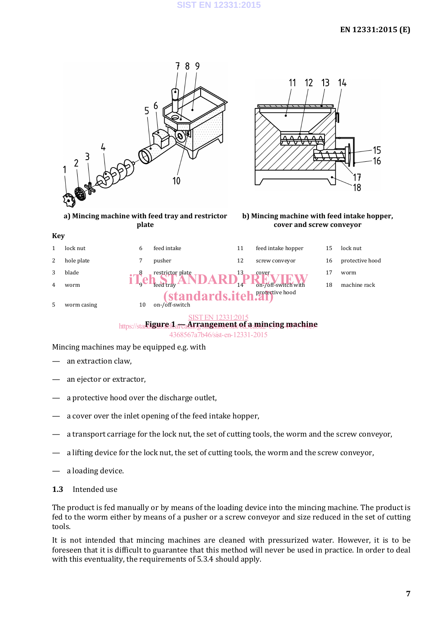#### **SIST EN 12331:2015**

#### **EN 12331:2015 (E)**



4368567a7b46/sist-en-12331-2015

Mincing machines may be equipped e.g. with

- an extraction claw,
- an ejector or extractor,
- a protective hood over the discharge outlet,
- a cover over the inlet opening of the feed intake hopper,
- a transport carriage for the lock nut, the set of cutting tools, the worm and the screw conveyor,
- a lifting device for the lock nut, the set of cutting tools, the worm and the screw conveyor,
- a loading device.
- **1.3** Intended use

The product is fed manually or by means of the loading device into the mincing machine. The product is fed to the worm either by means of a pusher or a screw conveyor and size reduced in the set of cutting tools.

It is not intended that mincing machines are cleaned with pressurized water. However, it is to be foreseen that it is difficult to guarantee that this method will never be used in practice. In order to deal with this eventuality, the requirements of 5.3.4 should apply.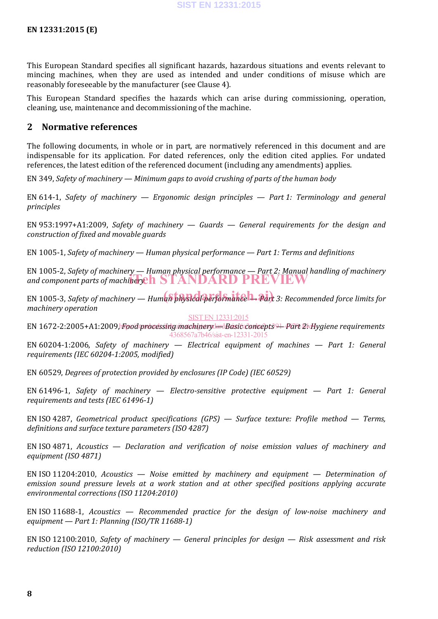This European Standard specifies all significant hazards, hazardous situations and events relevant to mincing machines, when they are used as intended and under conditions of misuse which are reasonably foreseeable by the manufacturer (see Clause 4).

This European Standard specifies the hazards which can arise during commissioning, operation, cleaning, use, maintenance and decommissioning of the machine.

#### **2 Normative references**

The following documents, in whole or in part, are normatively referenced in this document and are indispensable for its application. For dated references, only the edition cited applies. For undated references, the latest edition of the referenced document (including any amendments) applies.

EN 349, *Safety of machinery — Minimum gaps to avoid crushing of parts of the human body*

EN 614-1, *Safety of machinery — Ergonomic design principles — Part 1: Terminology and general principles*

EN 953:1997+A1:2009, *Safety of machinery — Guards — General requirements for the design and construction of fixed and movable guards*

EN 1005-1, *Safety of machinery — Human physical performance — Part 1: Terms and definitions*

EN 1005-2, *Safety of machinery — Human physical performance — Part 2: Manual handling of machinery*  and component parts of machinery **in the STANDARD PREVIEW** 

 $EN$  1005-3, *Safety of machinery — Human physical performance 1. Part 3: Recommended force limits for machinery operation*

SIST EN 12331:2015

EN 1672-2:2005+A1:2009) Food processing machinery <del>lard</del> Basic concepts 91-Part 21 Hygiene requirements 4368567a7b46/sist-en-12331-2015

EN 60204-1:2006, *Safety of machinery — Electrical equipment of machines — Part 1: General requirements (IEC 60204-1:2005, modified)*

EN 60529, *Degrees of protection provided by enclosures (IP Code) (IEC 60529)*

EN 61496-1, *Safety of machinery — Electro-sensitive protective equipment — Part 1: General requirements and tests (IEC 61496-1)*

EN ISO 4287, *Geometrical product specifications (GPS) — Surface texture: Profile method — Terms, definitions and surface texture parameters (ISO 4287)*

EN ISO 4871, *Acoustics — Declaration and verification of noise emission values of machinery and equipment (ISO 4871)*

EN ISO 11204:2010, *Acoustics — Noise emitted by machinery and equipment — Determination of emission sound pressure levels at a work station and at other specified positions applying accurate environmental corrections (ISO 11204:2010)*

EN ISO 11688-1, *Acoustics — Recommended practice for the design of low-noise machinery and equipment — Part 1: Planning (ISO/TR 11688-1)*

EN ISO 12100:2010, *Safety of machinery — General principles for design — Risk assessment and risk reduction (ISO 12100:2010)*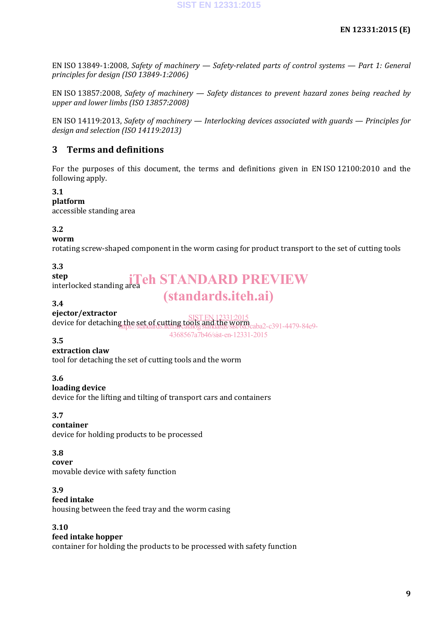EN ISO 13849-1:2008, *Safety of machinery — Safety-related parts of control systems — Part 1: General principles for design (ISO 13849-1:2006)*

EN ISO 13857:2008, *Safety of machinery — Safety distances to prevent hazard zones being reached by upper and lower limbs (ISO 13857:2008)*

EN ISO 14119:2013, *Safety of machinery — Interlocking devices associated with guards — Principles for design and selection (ISO 14119:2013)*

#### **3 Terms and definitions**

For the purposes of this document, the terms and definitions given in EN ISO 12100:2010 and the following apply.

#### **3.1**

**platform**

accessible standing area

#### **3.2**

#### **worm**

rotating screw-shaped component in the worm casing for product transport to the set of cutting tools

#### **3.3 step**

step<br>interlocked standing area<br>**interlocked** standing area<br>**interlocked** standing area (standards.iteh.ai)

#### **3.4**

#### **ejector/extractor**

device for detaching the set of cutting tools and the worm SIST EN 12331:2015 https://standards.iteh.ai/catalog/standards/sist/6a3caba2-c391-4479-84e9-

4368567a7b46/sist-en-12331-2015

#### **3.5**

#### **extraction claw**

tool for detaching the set of cutting tools and the worm

#### **3.6**

#### **loading device**

device for the lifting and tilting of transport cars and containers

#### **3.7**

#### **container**

device for holding products to be processed

#### **3.8**

**cover** movable device with safety function

#### **3.9**

#### **feed intake**

housing between the feed tray and the worm casing

#### **3.10**

#### **feed intake hopper**

container for holding the products to be processed with safety function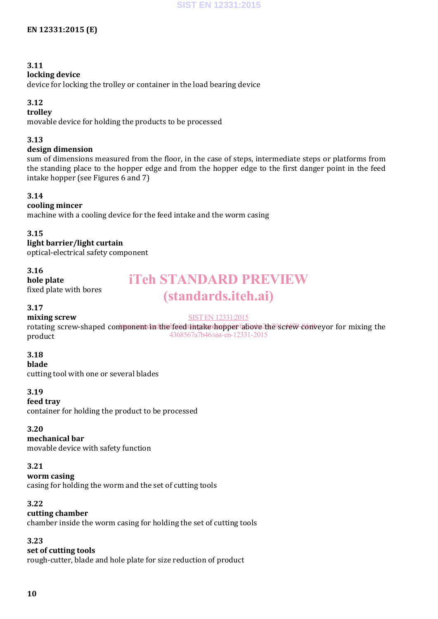#### **3.11**

#### **locking device**

device for locking the trolley or container in the load bearing device

#### **3.12**

#### **trolley**

movable device for holding the products to be processed

#### **3.13**

#### **design dimension**

sum of dimensions measured from the floor, in the case of steps, intermediate steps or platforms from the standing place to the hopper edge and from the hopper edge to the first danger point in the feed intake hopper (see Figures 6 and 7)

#### **3.14**

#### **cooling mincer**

machine with a cooling device for the feed intake and the worm casing

#### **3.15**

**light barrier/light curtain** optical-electrical safety component

#### **3.16**

**hole plate**

fixed plate with bores

## iTeh STANDARD PREVIEW (standards.iteh.ai)

#### **3.17**

#### SIST EN 12331:2015

**mixing screw** rotating screw-shaped component in the feed intake hopper above the screw-conveyor for mixing the product 4368567a7b46/sist-en-12331-2015

#### **3.18**

#### **blade**

cutting tool with one or several blades

#### **3.19**

#### **feed tray**

container for holding the product to be processed

#### **3.20**

#### **mechanical bar**

movable device with safety function

#### **3.21**

#### **worm casing**

casing for holding the worm and the set of cutting tools

#### **3.22**

#### **cutting chamber**

chamber inside the worm casing for holding the set of cutting tools

#### **3.23**

#### **set of cutting tools**

rough-cutter, blade and hole plate for size reduction of product